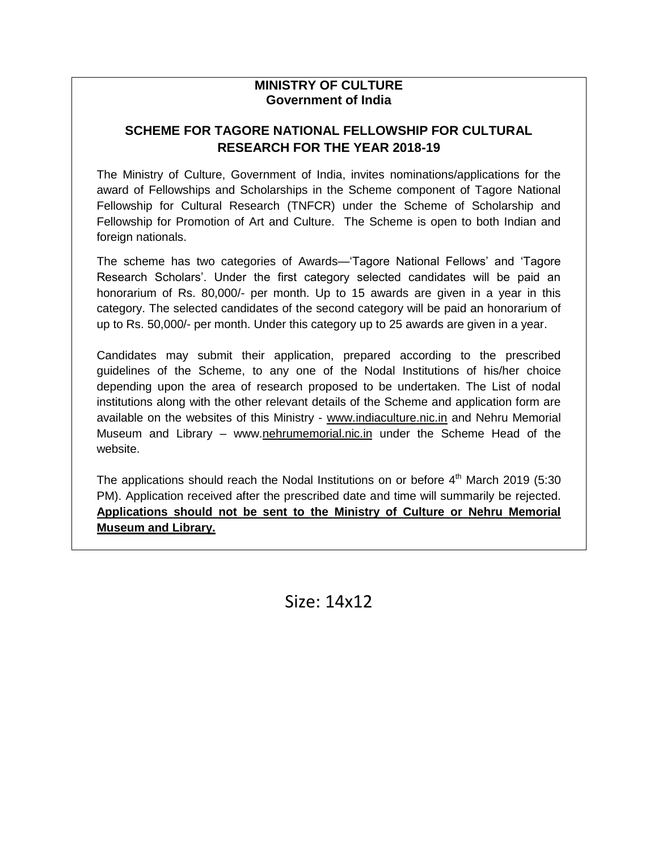#### **MINISTRY OF CULTURE Government of India**

### **SCHEME FOR TAGORE NATIONAL FELLOWSHIP FOR CULTURAL RESEARCH FOR THE YEAR 2018-19**

The Ministry of Culture, Government of India, invites nominations/applications for the award of Fellowships and Scholarships in the Scheme component of Tagore National Fellowship for Cultural Research (TNFCR) under the Scheme of Scholarship and Fellowship for Promotion of Art and Culture. The Scheme is open to both Indian and foreign nationals.

The scheme has two categories of Awards—'Tagore National Fellows' and 'Tagore Research Scholars'. Under the first category selected candidates will be paid an honorarium of Rs. 80,000/- per month. Up to 15 awards are given in a year in this category. The selected candidates of the second category will be paid an honorarium of up to Rs. 50,000/- per month. Under this category up to 25 awards are given in a year.

Candidates may submit their application, prepared according to the prescribed guidelines of the Scheme, to any one of the Nodal Institutions of his/her choice depending upon the area of research proposed to be undertaken. The List of nodal institutions along with the other relevant details of the Scheme and application form are available on the websites of this Ministry - www.indiaculture.nic.in and Nehru Memorial Museum and Library – www.nehrumemorial.nic.in under the Scheme Head of the website.

The applications should reach the Nodal Institutions on or before  $4<sup>th</sup>$  March 2019 (5:30 PM). Application received after the prescribed date and time will summarily be rejected. **Applications should not be sent to the Ministry of Culture or Nehru Memorial Museum and Library.**

Size: 14x12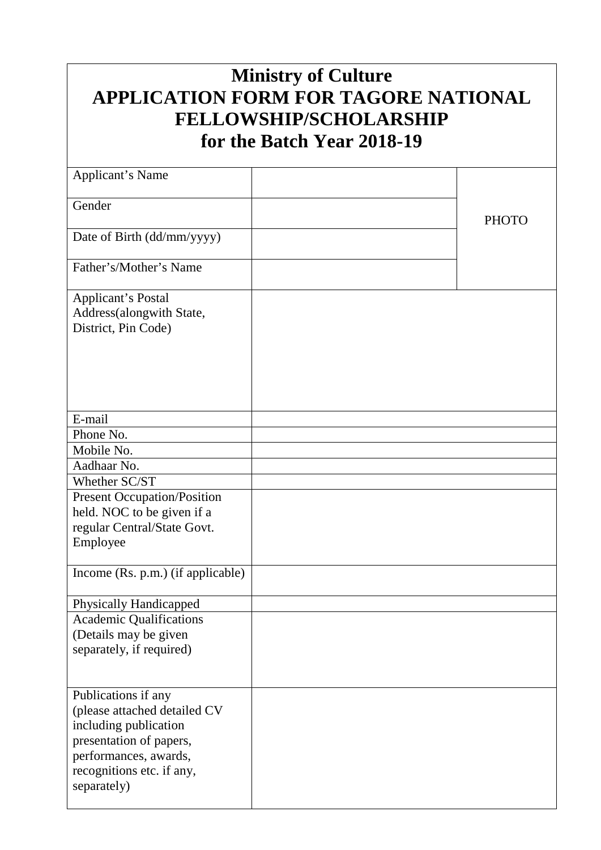# **Ministry of Culture APPLICATION FORM FOR TAGORE NATIONAL FELLOWSHIP/SCHOLARSHIP for the Batch Year 2018-19**

| <b>Applicant's Name</b>                  |              |
|------------------------------------------|--------------|
| Gender                                   |              |
|                                          | <b>PHOTO</b> |
| Date of Birth (dd/mm/yyyy)               |              |
| Father's/Mother's Name                   |              |
| <b>Applicant's Postal</b>                |              |
| Address(alongwith State,                 |              |
| District, Pin Code)                      |              |
|                                          |              |
|                                          |              |
|                                          |              |
|                                          |              |
|                                          |              |
| E-mail                                   |              |
| Phone No.                                |              |
| Mobile No.                               |              |
| Aadhaar No.                              |              |
| Whether SC/ST                            |              |
| <b>Present Occupation/Position</b>       |              |
| held. NOC to be given if a               |              |
| regular Central/State Govt.              |              |
| Employee                                 |              |
| Income (Rs. p.m.) (if applicable)        |              |
|                                          |              |
| <b>Physically Handicapped</b>            |              |
| <b>Academic Qualifications</b>           |              |
| (Details may be given                    |              |
| separately, if required)                 |              |
|                                          |              |
|                                          |              |
| Publications if any                      |              |
| (please attached detailed CV             |              |
| including publication                    |              |
| presentation of papers,                  |              |
| performances, awards,                    |              |
| recognitions etc. if any,<br>separately) |              |
|                                          |              |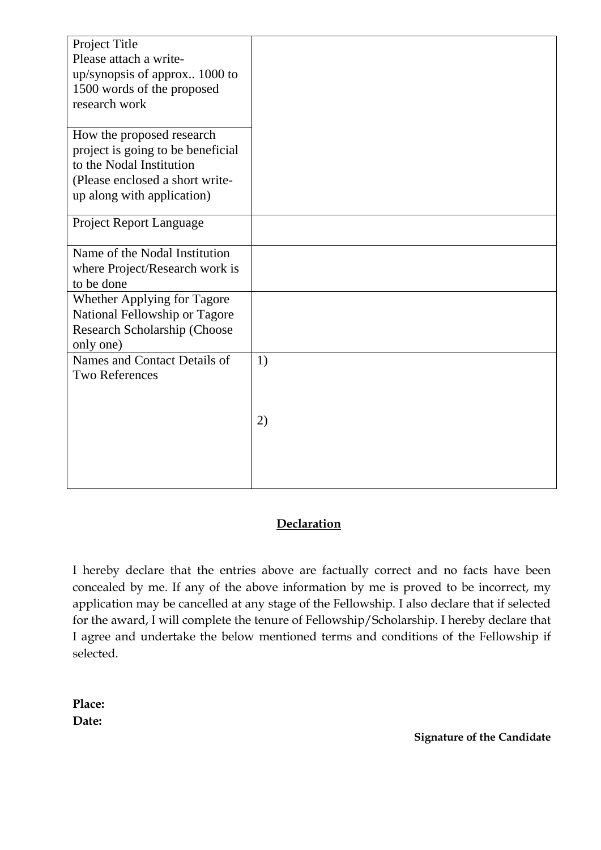| Project Title                     |    |
|-----------------------------------|----|
| Please attach a write-            |    |
| up/synopsis of approx 1000 to     |    |
| 1500 words of the proposed        |    |
| research work                     |    |
|                                   |    |
| How the proposed research         |    |
| project is going to be beneficial |    |
| to the Nodal Institution          |    |
| (Please enclosed a short write-   |    |
|                                   |    |
| up along with application)        |    |
| <b>Project Report Language</b>    |    |
|                                   |    |
| Name of the Nodal Institution     |    |
| where Project/Research work is    |    |
| to be done                        |    |
| Whether Applying for Tagore       |    |
| National Fellowship or Tagore     |    |
|                                   |    |
| Research Scholarship (Choose      |    |
| only one)                         |    |
| Names and Contact Details of      | 1) |
| <b>Two References</b>             |    |
|                                   |    |
|                                   |    |
|                                   | 2) |
|                                   |    |
|                                   |    |
|                                   |    |
|                                   |    |

### **Declaration**

I hereby declare that the entries above are factually correct and no facts have been concealed by me. If any of the above information by me is proved to be incorrect, my application may be cancelled at any stage of the Fellowship. I also declare that if selected for the award, I will complete the tenure of Fellowship/Scholarship. I hereby declare that I agree and undertake the below mentioned terms and conditions of the Fellowship if selected.

**Place: Date:**

**Signature of the Candidate**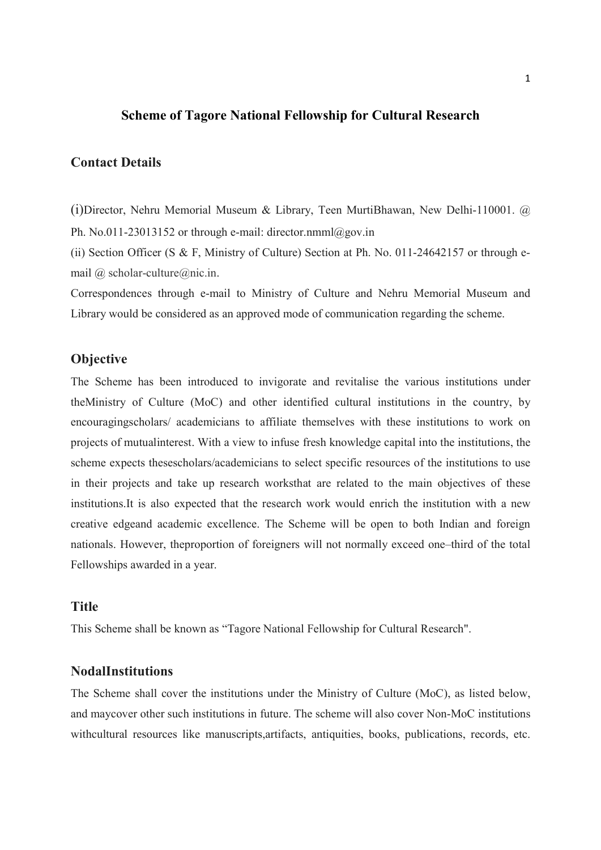#### Scheme of Tagore National Fellowship for Cultural Research

#### Contact Details

(i)Director, Nehru Memorial Museum & Library, Teen MurtiBhawan, New Delhi-110001. @ Ph. No.011-23013152 or through e-mail: director.nmml@gov.in

(ii) Section Officer (S & F, Ministry of Culture) Section at Ph. No. 011-24642157 or through email @ scholar-culture@nic.in.

Correspondences through e-mail to Ministry of Culture and Nehru Memorial Museum and Library would be considered as an approved mode of communication regarding the scheme.

#### **Objective**

The Scheme has been introduced to invigorate and revitalise the various institutions under theMinistry of Culture (MoC) and other identified cultural institutions in the country, by encouragingscholars/ academicians to affiliate themselves with these institutions to work on projects of mutualinterest. With a view to infuse fresh knowledge capital into the institutions, the scheme expects thesescholars/academicians to select specific resources of the institutions to use in their projects and take up research worksthat are related to the main objectives of these institutions.It is also expected that the research work would enrich the institution with a new creative edgeand academic excellence. The Scheme will be open to both Indian and foreign nationals. However, theproportion of foreigners will not normally exceed one–third of the total Fellowships awarded in a year.

#### **Title**

This Scheme shall be known as "Tagore National Fellowship for Cultural Research".

#### NodalInstitutions

The Scheme shall cover the institutions under the Ministry of Culture (MoC), as listed below, and maycover other such institutions in future. The scheme will also cover Non-MoC institutions withcultural resources like manuscripts,artifacts, antiquities, books, publications, records, etc.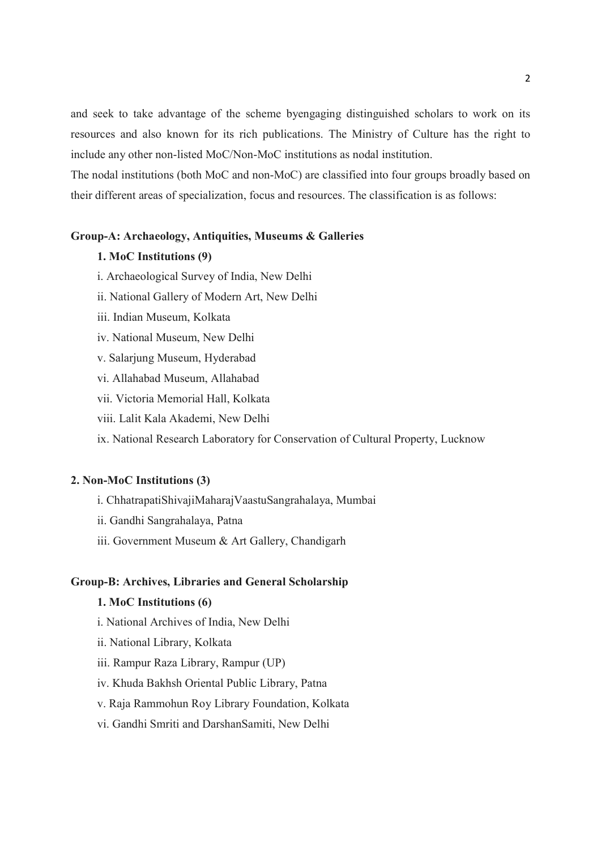and seek to take advantage of the scheme byengaging distinguished scholars to work on its resources and also known for its rich publications. The Ministry of Culture has the right to include any other non-listed MoC/Non-MoC institutions as nodal institution.

The nodal institutions (both MoC and non-MoC) are classified into four groups broadly based on their different areas of specialization, focus and resources. The classification is as follows:

#### Group-A: Archaeology, Antiquities, Museums & Galleries

#### 1. MoC Institutions (9)

- i. Archaeological Survey of India, New Delhi
- ii. National Gallery of Modern Art, New Delhi
- iii. Indian Museum, Kolkata
- iv. National Museum, New Delhi
- v. Salarjung Museum, Hyderabad
- vi. Allahabad Museum, Allahabad
- vii. Victoria Memorial Hall, Kolkata
- viii. Lalit Kala Akademi, New Delhi
- ix. National Research Laboratory for Conservation of Cultural Property, Lucknow

#### 2. Non-MoC Institutions (3)

- i. ChhatrapatiShivajiMaharajVaastuSangrahalaya, Mumbai
- ii. Gandhi Sangrahalaya, Patna
- iii. Government Museum & Art Gallery, Chandigarh

#### Group-B: Archives, Libraries and General Scholarship

#### 1. MoC Institutions (6)

- i. National Archives of India, New Delhi
- ii. National Library, Kolkata
- iii. Rampur Raza Library, Rampur (UP)
- iv. Khuda Bakhsh Oriental Public Library, Patna

#### v. Raja Rammohun Roy Library Foundation, Kolkata

vi. Gandhi Smriti and DarshanSamiti, New Delhi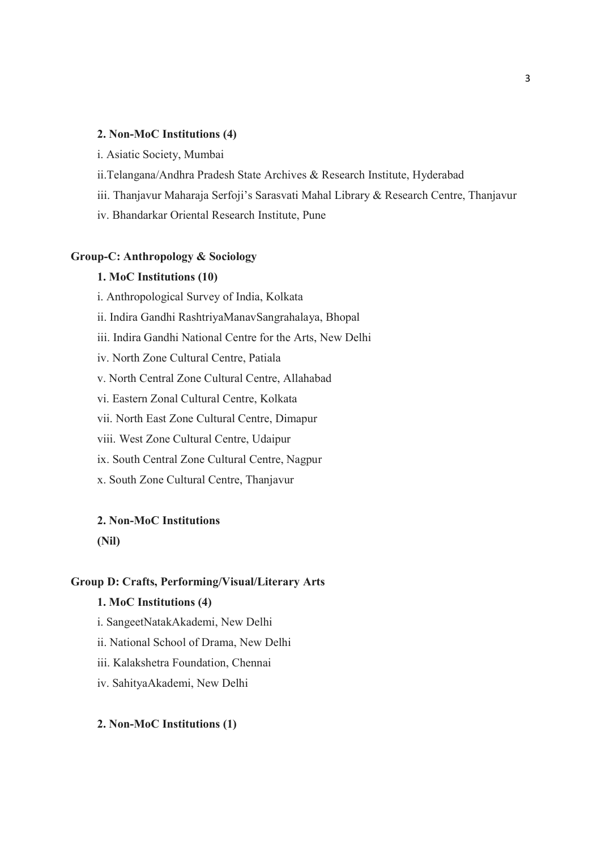#### 2. Non-MoC Institutions (4)

- i. Asiatic Society, Mumbai
- ii.Telangana/Andhra Pradesh State Archives & Research Institute, Hyderabad
- iii. Thanjavur Maharaja Serfoji's Sarasvati Mahal Library & Research Centre, Thanjavur
- iv. Bhandarkar Oriental Research Institute, Pune

#### Group-C: Anthropology & Sociology

#### 1. MoC Institutions (10)

- i. Anthropological Survey of India, Kolkata
- ii. Indira Gandhi RashtriyaManavSangrahalaya, Bhopal
- iii. Indira Gandhi National Centre for the Arts, New Delhi
- iv. North Zone Cultural Centre, Patiala
- v. North Central Zone Cultural Centre, Allahabad
- vi. Eastern Zonal Cultural Centre, Kolkata
- vii. North East Zone Cultural Centre, Dimapur
- viii. West Zone Cultural Centre, Udaipur
- ix. South Central Zone Cultural Centre, Nagpur
- x. South Zone Cultural Centre, Thanjavur

#### 2. Non-MoC Institutions

(Nil)

#### Group D: Crafts, Performing/Visual/Literary Arts

#### 1. MoC Institutions (4)

- i. SangeetNatakAkademi, New Delhi
- ii. National School of Drama, New Delhi
- iii. Kalakshetra Foundation, Chennai
- iv. SahityaAkademi, New Delhi

#### 2. Non-MoC Institutions (1)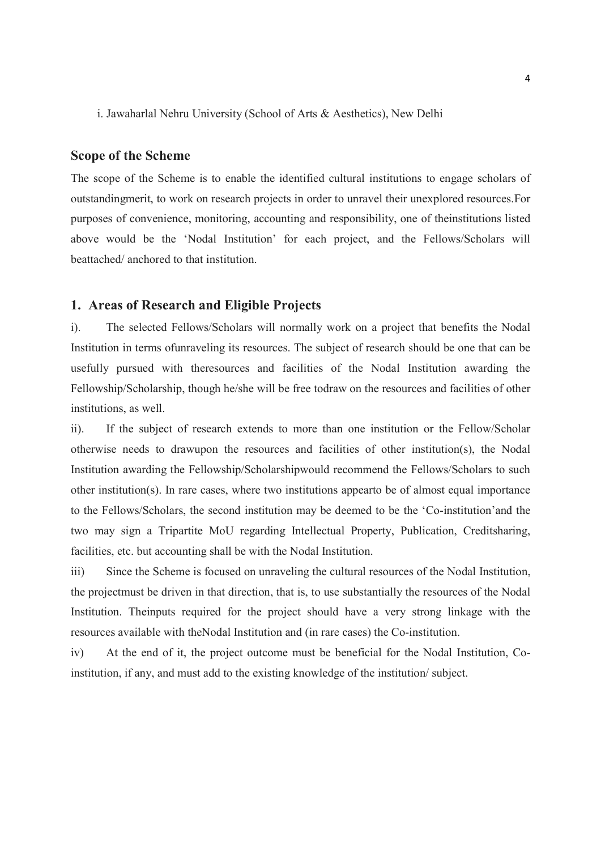i. Jawaharlal Nehru University (School of Arts & Aesthetics), New Delhi

#### Scope of the Scheme

The scope of the Scheme is to enable the identified cultural institutions to engage scholars of outstandingmerit, to work on research projects in order to unravel their unexplored resources.For purposes of convenience, monitoring, accounting and responsibility, one of theinstitutions listed above would be the 'Nodal Institution' for each project, and the Fellows/Scholars will beattached/ anchored to that institution.

#### 1. Areas of Research and Eligible Projects

i). The selected Fellows/Scholars will normally work on a project that benefits the Nodal Institution in terms ofunraveling its resources. The subject of research should be one that can be usefully pursued with theresources and facilities of the Nodal Institution awarding the Fellowship/Scholarship, though he/she will be free todraw on the resources and facilities of other institutions, as well.

ii). If the subject of research extends to more than one institution or the Fellow/Scholar otherwise needs to drawupon the resources and facilities of other institution(s), the Nodal Institution awarding the Fellowship/Scholarshipwould recommend the Fellows/Scholars to such other institution(s). In rare cases, where two institutions appearto be of almost equal importance to the Fellows/Scholars, the second institution may be deemed to be the 'Co-institution'and the two may sign a Tripartite MoU regarding Intellectual Property, Publication, Creditsharing, facilities, etc. but accounting shall be with the Nodal Institution.

iii) Since the Scheme is focused on unraveling the cultural resources of the Nodal Institution, the projectmust be driven in that direction, that is, to use substantially the resources of the Nodal Institution. Theinputs required for the project should have a very strong linkage with the resources available with theNodal Institution and (in rare cases) the Co-institution.

iv) At the end of it, the project outcome must be beneficial for the Nodal Institution, Coinstitution, if any, and must add to the existing knowledge of the institution/ subject.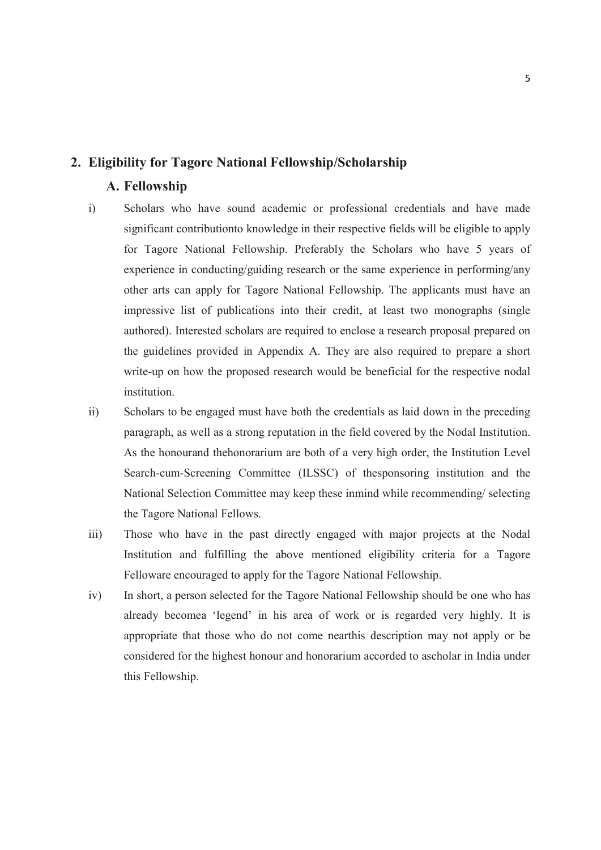#### 2. Eligibility for Tagore National Fellowship/Scholarship

#### A. Fellowship

- i) Scholars who have sound academic or professional credentials and have made significant contributionto knowledge in their respective fields will be eligible to apply for Tagore National Fellowship. Preferably the Scholars who have 5 years of experience in conducting/guiding research or the same experience in performing/any other arts can apply for Tagore National Fellowship. The applicants must have an impressive list of publications into their credit, at least two monographs (single authored). Interested scholars are required to enclose a research proposal prepared on the guidelines provided in Appendix A. They are also required to prepare a short write-up on how the proposed research would be beneficial for the respective nodal institution.
- ii) Scholars to be engaged must have both the credentials as laid down in the preceding paragraph, as well as a strong reputation in the field covered by the Nodal Institution. As the honourand thehonorarium are both of a very high order, the Institution Level Search-cum-Screening Committee (ILSSC) of thesponsoring institution and the National Selection Committee may keep these inmind while recommending/ selecting the Tagore National Fellows.
- iii) Those who have in the past directly engaged with major projects at the Nodal Institution and fulfilling the above mentioned eligibility criteria for a Tagore Felloware encouraged to apply for the Tagore National Fellowship.
- iv) In short, a person selected for the Tagore National Fellowship should be one who has already becomea 'legend' in his area of work or is regarded very highly. It is appropriate that those who do not come nearthis description may not apply or be considered for the highest honour and honorarium accorded to ascholar in India under this Fellowship.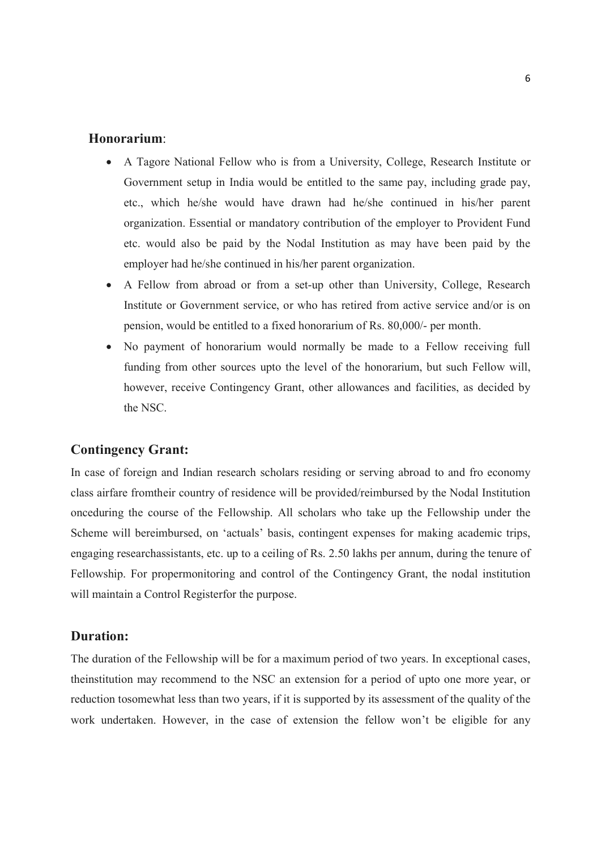#### Honorarium:

- A Tagore National Fellow who is from a University, College, Research Institute or Government setup in India would be entitled to the same pay, including grade pay, etc., which he/she would have drawn had he/she continued in his/her parent organization. Essential or mandatory contribution of the employer to Provident Fund etc. would also be paid by the Nodal Institution as may have been paid by the employer had he/she continued in his/her parent organization.
- A Fellow from abroad or from a set-up other than University, College, Research Institute or Government service, or who has retired from active service and/or is on pension, would be entitled to a fixed honorarium of Rs. 80,000/- per month.
- No payment of honorarium would normally be made to a Fellow receiving full funding from other sources upto the level of the honorarium, but such Fellow will, however, receive Contingency Grant, other allowances and facilities, as decided by the NSC.

#### Contingency Grant:

In case of foreign and Indian research scholars residing or serving abroad to and fro economy class airfare fromtheir country of residence will be provided/reimbursed by the Nodal Institution onceduring the course of the Fellowship. All scholars who take up the Fellowship under the Scheme will bereimbursed, on 'actuals' basis, contingent expenses for making academic trips, engaging researchassistants, etc. up to a ceiling of Rs. 2.50 lakhs per annum, during the tenure of Fellowship. For propermonitoring and control of the Contingency Grant, the nodal institution will maintain a Control Registerfor the purpose.

#### Duration:

The duration of the Fellowship will be for a maximum period of two years. In exceptional cases, theinstitution may recommend to the NSC an extension for a period of upto one more year, or reduction tosomewhat less than two years, if it is supported by its assessment of the quality of the work undertaken. However, in the case of extension the fellow won't be eligible for any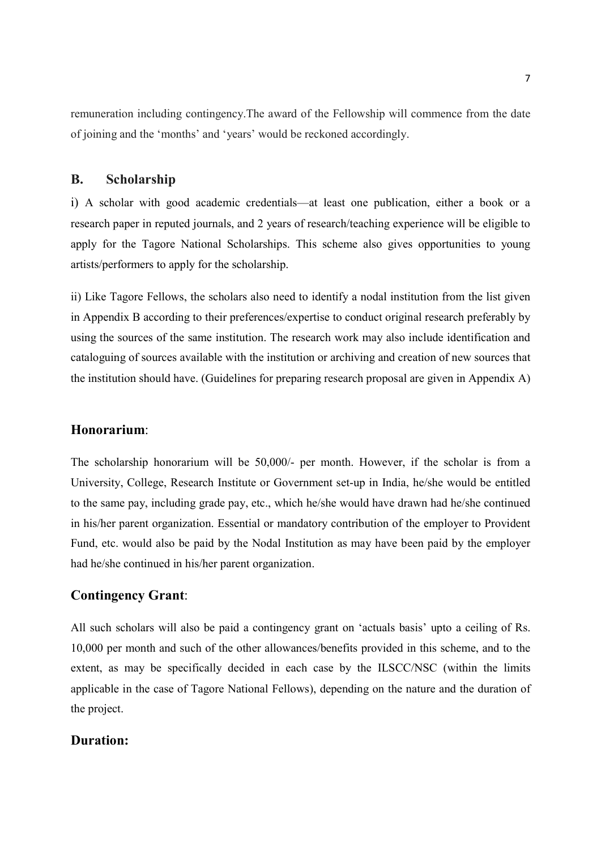remuneration including contingency.The award of the Fellowship will commence from the date of joining and the 'months' and 'years' would be reckoned accordingly.

#### B. Scholarship

i) A scholar with good academic credentials—at least one publication, either a book or a research paper in reputed journals, and 2 years of research/teaching experience will be eligible to apply for the Tagore National Scholarships. This scheme also gives opportunities to young artists/performers to apply for the scholarship.

ii) Like Tagore Fellows, the scholars also need to identify a nodal institution from the list given in Appendix B according to their preferences/expertise to conduct original research preferably by using the sources of the same institution. The research work may also include identification and cataloguing of sources available with the institution or archiving and creation of new sources that the institution should have. (Guidelines for preparing research proposal are given in Appendix A)

#### Honorarium:

The scholarship honorarium will be 50,000/- per month. However, if the scholar is from a University, College, Research Institute or Government set-up in India, he/she would be entitled to the same pay, including grade pay, etc., which he/she would have drawn had he/she continued in his/her parent organization. Essential or mandatory contribution of the employer to Provident Fund, etc. would also be paid by the Nodal Institution as may have been paid by the employer had he/she continued in his/her parent organization.

#### Contingency Grant:

All such scholars will also be paid a contingency grant on 'actuals basis' upto a ceiling of Rs. 10,000 per month and such of the other allowances/benefits provided in this scheme, and to the extent, as may be specifically decided in each case by the ILSCC/NSC (within the limits applicable in the case of Tagore National Fellows), depending on the nature and the duration of the project.

#### Duration: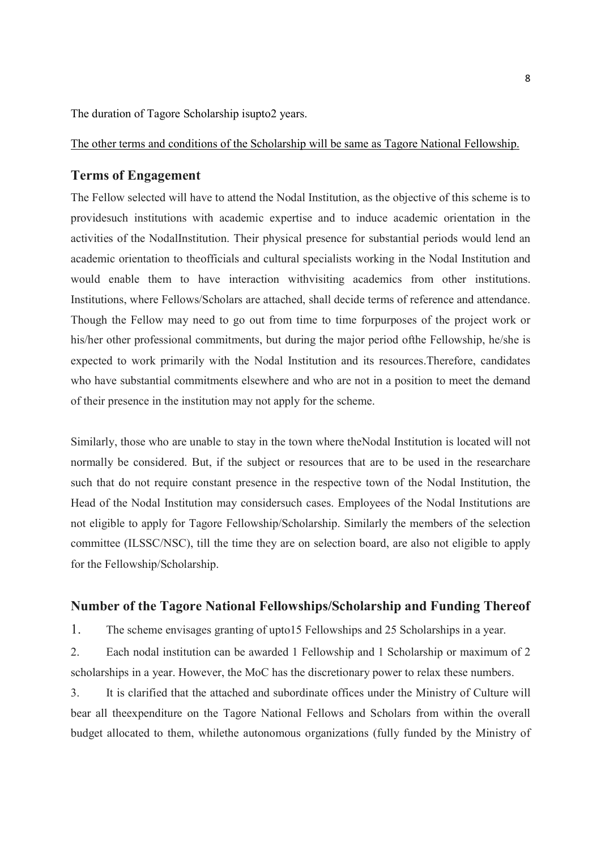The duration of Tagore Scholarship isupto2 years.

The other terms and conditions of the Scholarship will be same as Tagore National Fellowship.

#### Terms of Engagement

The Fellow selected will have to attend the Nodal Institution, as the objective of this scheme is to providesuch institutions with academic expertise and to induce academic orientation in the activities of the NodalInstitution. Their physical presence for substantial periods would lend an academic orientation to theofficials and cultural specialists working in the Nodal Institution and would enable them to have interaction withvisiting academics from other institutions. Institutions, where Fellows/Scholars are attached, shall decide terms of reference and attendance. Though the Fellow may need to go out from time to time forpurposes of the project work or his/her other professional commitments, but during the major period ofthe Fellowship, he/she is expected to work primarily with the Nodal Institution and its resources.Therefore, candidates who have substantial commitments elsewhere and who are not in a position to meet the demand of their presence in the institution may not apply for the scheme.

Similarly, those who are unable to stay in the town where theNodal Institution is located will not normally be considered. But, if the subject or resources that are to be used in the researchare such that do not require constant presence in the respective town of the Nodal Institution, the Head of the Nodal Institution may considersuch cases. Employees of the Nodal Institutions are not eligible to apply for Tagore Fellowship/Scholarship. Similarly the members of the selection committee (ILSSC/NSC), till the time they are on selection board, are also not eligible to apply for the Fellowship/Scholarship.

#### Number of the Tagore National Fellowships/Scholarship and Funding Thereof

1. The scheme envisages granting of upto15 Fellowships and 25 Scholarships in a year.

2. Each nodal institution can be awarded 1 Fellowship and 1 Scholarship or maximum of 2 scholarships in a year. However, the MoC has the discretionary power to relax these numbers.

3. It is clarified that the attached and subordinate offices under the Ministry of Culture will bear all theexpenditure on the Tagore National Fellows and Scholars from within the overall budget allocated to them, whilethe autonomous organizations (fully funded by the Ministry of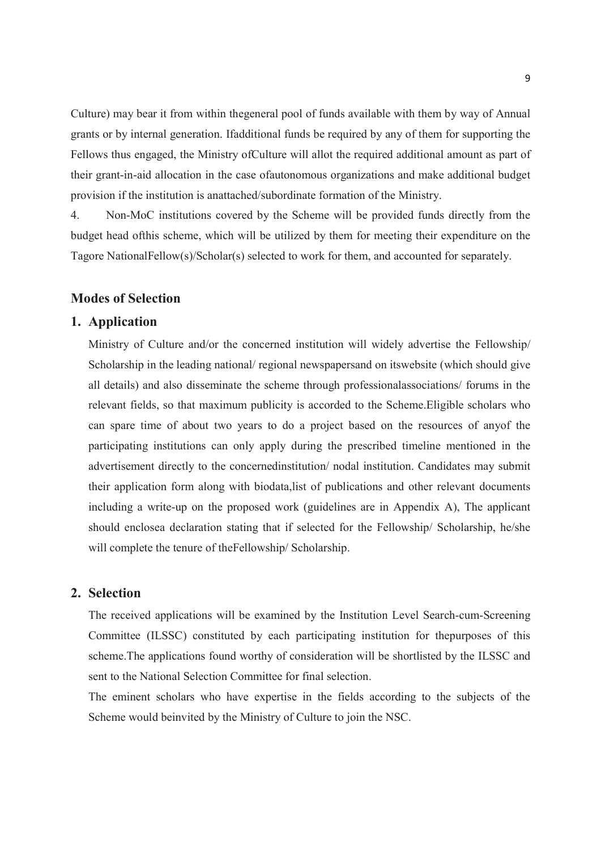Culture) may bear it from within thegeneral pool of funds available with them by way of Annual grants or by internal generation. Ifadditional funds be required by any of them for supporting the Fellows thus engaged, the Ministry ofCulture will allot the required additional amount as part of their grant-in-aid allocation in the case ofautonomous organizations and make additional budget provision if the institution is anattached/subordinate formation of the Ministry.

4. Non-MoC institutions covered by the Scheme will be provided funds directly from the budget head ofthis scheme, which will be utilized by them for meeting their expenditure on the Tagore NationalFellow(s)/Scholar(s) selected to work for them, and accounted for separately.

#### Modes of Selection

#### 1. Application

Ministry of Culture and/or the concerned institution will widely advertise the Fellowship/ Scholarship in the leading national/ regional newspapersand on itswebsite (which should give all details) and also disseminate the scheme through professionalassociations/ forums in the relevant fields, so that maximum publicity is accorded to the Scheme.Eligible scholars who can spare time of about two years to do a project based on the resources of anyof the participating institutions can only apply during the prescribed timeline mentioned in the advertisement directly to the concernedinstitution/ nodal institution. Candidates may submit their application form along with biodata,list of publications and other relevant documents including a write-up on the proposed work (guidelines are in Appendix A), The applicant should enclosea declaration stating that if selected for the Fellowship/ Scholarship, he/she will complete the tenure of theFellowship/ Scholarship.

#### 2. Selection

The received applications will be examined by the Institution Level Search-cum-Screening Committee (ILSSC) constituted by each participating institution for thepurposes of this scheme.The applications found worthy of consideration will be shortlisted by the ILSSC and sent to the National Selection Committee for final selection.

The eminent scholars who have expertise in the fields according to the subjects of the Scheme would beinvited by the Ministry of Culture to join the NSC.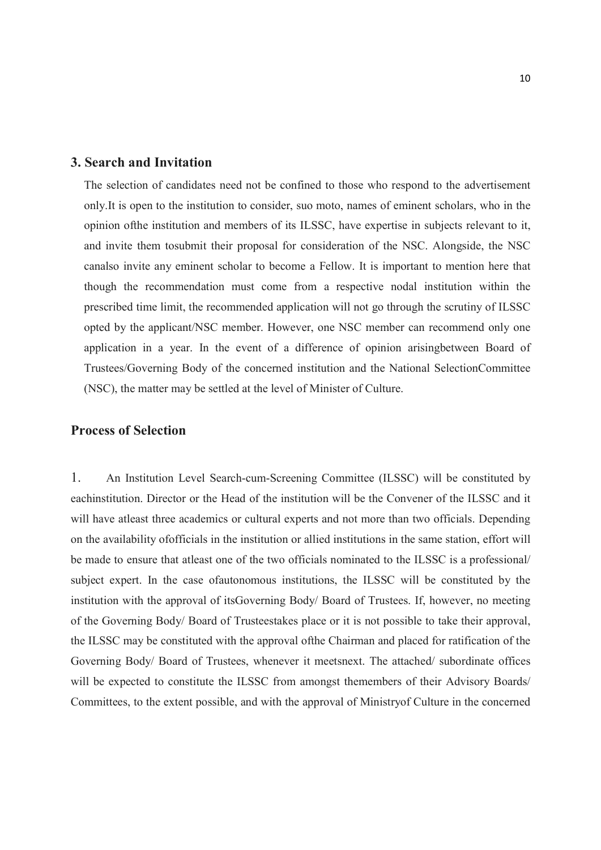#### 3. Search and Invitation

The selection of candidates need not be confined to those who respond to the advertisement only.It is open to the institution to consider, suo moto, names of eminent scholars, who in the opinion ofthe institution and members of its ILSSC, have expertise in subjects relevant to it, and invite them tosubmit their proposal for consideration of the NSC. Alongside, the NSC canalso invite any eminent scholar to become a Fellow. It is important to mention here that though the recommendation must come from a respective nodal institution within the prescribed time limit, the recommended application will not go through the scrutiny of ILSSC opted by the applicant/NSC member. However, one NSC member can recommend only one application in a year. In the event of a difference of opinion arisingbetween Board of Trustees/Governing Body of the concerned institution and the National SelectionCommittee (NSC), the matter may be settled at the level of Minister of Culture.

#### Process of Selection

1. An Institution Level Search-cum-Screening Committee (ILSSC) will be constituted by eachinstitution. Director or the Head of the institution will be the Convener of the ILSSC and it will have atleast three academics or cultural experts and not more than two officials. Depending on the availability ofofficials in the institution or allied institutions in the same station, effort will be made to ensure that atleast one of the two officials nominated to the ILSSC is a professional/ subject expert. In the case ofautonomous institutions, the ILSSC will be constituted by the institution with the approval of itsGoverning Body/ Board of Trustees. If, however, no meeting of the Governing Body/ Board of Trusteestakes place or it is not possible to take their approval, the ILSSC may be constituted with the approval ofthe Chairman and placed for ratification of the Governing Body/ Board of Trustees, whenever it meetsnext. The attached/ subordinate offices will be expected to constitute the ILSSC from amongst themembers of their Advisory Boards/ Committees, to the extent possible, and with the approval of Ministryof Culture in the concerned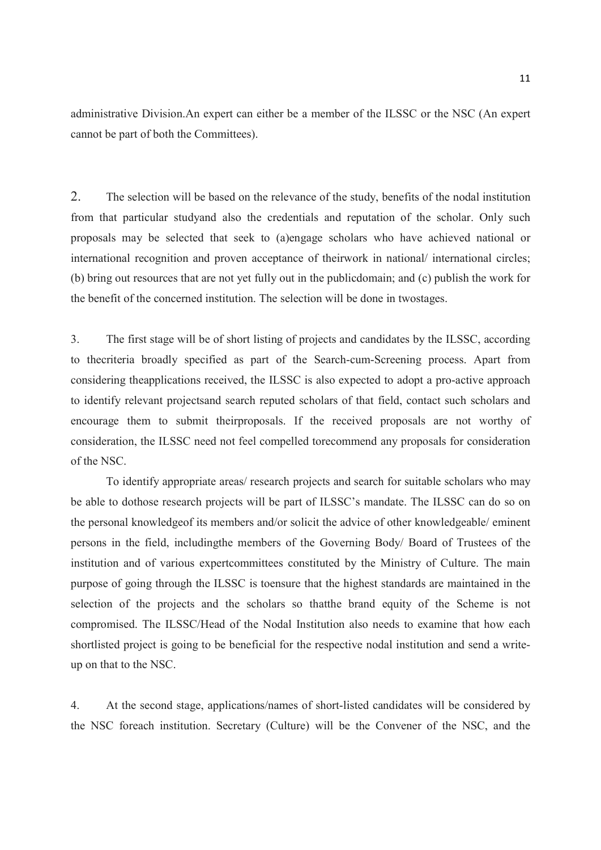administrative Division.An expert can either be a member of the ILSSC or the NSC (An expert cannot be part of both the Committees).

2. The selection will be based on the relevance of the study, benefits of the nodal institution from that particular studyand also the credentials and reputation of the scholar. Only such proposals may be selected that seek to (a)engage scholars who have achieved national or international recognition and proven acceptance of theirwork in national/ international circles; (b) bring out resources that are not yet fully out in the publicdomain; and (c) publish the work for the benefit of the concerned institution. The selection will be done in twostages.

3. The first stage will be of short listing of projects and candidates by the ILSSC, according to thecriteria broadly specified as part of the Search-cum-Screening process. Apart from considering theapplications received, the ILSSC is also expected to adopt a pro-active approach to identify relevant projectsand search reputed scholars of that field, contact such scholars and encourage them to submit theirproposals. If the received proposals are not worthy of consideration, the ILSSC need not feel compelled torecommend any proposals for consideration of the NSC.

To identify appropriate areas/ research projects and search for suitable scholars who may be able to dothose research projects will be part of ILSSC's mandate. The ILSSC can do so on the personal knowledgeof its members and/or solicit the advice of other knowledgeable/ eminent persons in the field, includingthe members of the Governing Body/ Board of Trustees of the institution and of various expertcommittees constituted by the Ministry of Culture. The main purpose of going through the ILSSC is toensure that the highest standards are maintained in the selection of the projects and the scholars so thatthe brand equity of the Scheme is not compromised. The ILSSC/Head of the Nodal Institution also needs to examine that how each shortlisted project is going to be beneficial for the respective nodal institution and send a writeup on that to the NSC.

4. At the second stage, applications/names of short-listed candidates will be considered by the NSC foreach institution. Secretary (Culture) will be the Convener of the NSC, and the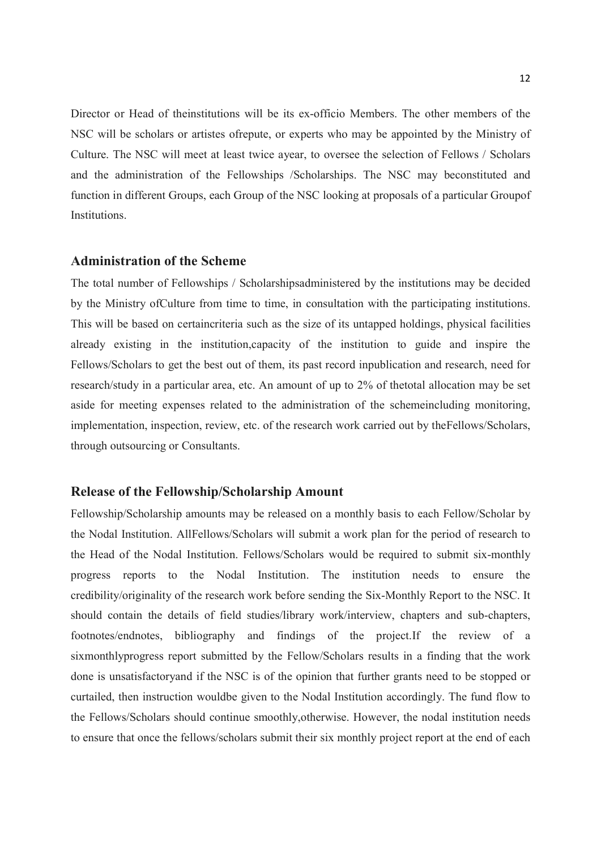Director or Head of theinstitutions will be its ex-officio Members. The other members of the NSC will be scholars or artistes ofrepute, or experts who may be appointed by the Ministry of Culture. The NSC will meet at least twice ayear, to oversee the selection of Fellows / Scholars and the administration of the Fellowships /Scholarships. The NSC may beconstituted and function in different Groups, each Group of the NSC looking at proposals of a particular Groupof Institutions.

#### Administration of the Scheme

The total number of Fellowships / Scholarshipsadministered by the institutions may be decided by the Ministry ofCulture from time to time, in consultation with the participating institutions. This will be based on certaincriteria such as the size of its untapped holdings, physical facilities already existing in the institution,capacity of the institution to guide and inspire the Fellows/Scholars to get the best out of them, its past record inpublication and research, need for research/study in a particular area, etc. An amount of up to 2% of thetotal allocation may be set aside for meeting expenses related to the administration of the schemeincluding monitoring, implementation, inspection, review, etc. of the research work carried out by theFellows/Scholars, through outsourcing or Consultants.

#### Release of the Fellowship/Scholarship Amount

Fellowship/Scholarship amounts may be released on a monthly basis to each Fellow/Scholar by the Nodal Institution. AllFellows/Scholars will submit a work plan for the period of research to the Head of the Nodal Institution. Fellows/Scholars would be required to submit six-monthly progress reports to the Nodal Institution. The institution needs to ensure the credibility/originality of the research work before sending the Six-Monthly Report to the NSC. It should contain the details of field studies/library work/interview, chapters and sub-chapters, footnotes/endnotes, bibliography and findings of the project.If the review of a sixmonthlyprogress report submitted by the Fellow/Scholars results in a finding that the work done is unsatisfactoryand if the NSC is of the opinion that further grants need to be stopped or curtailed, then instruction wouldbe given to the Nodal Institution accordingly. The fund flow to the Fellows/Scholars should continue smoothly,otherwise. However, the nodal institution needs to ensure that once the fellows/scholars submit their six monthly project report at the end of each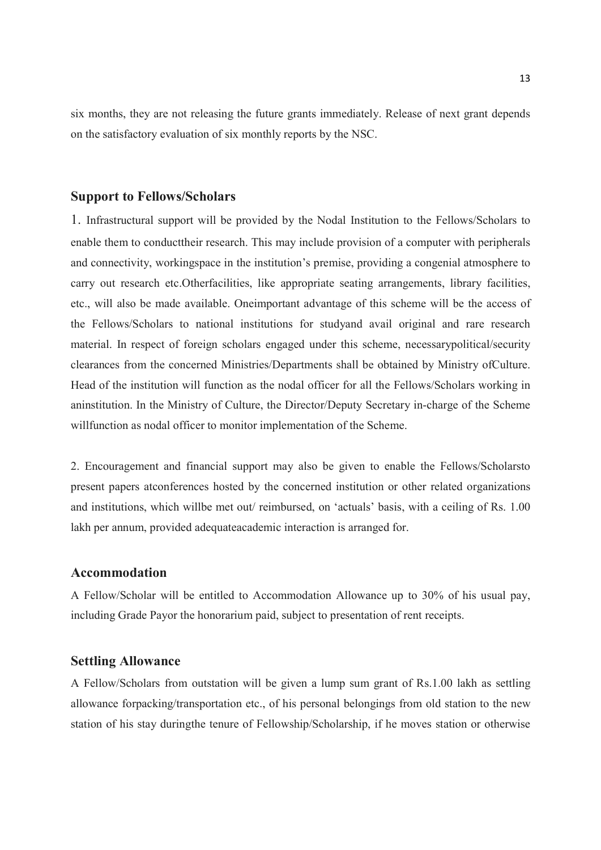six months, they are not releasing the future grants immediately. Release of next grant depends on the satisfactory evaluation of six monthly reports by the NSC.

#### Support to Fellows/Scholars

1. Infrastructural support will be provided by the Nodal Institution to the Fellows/Scholars to enable them to conducttheir research. This may include provision of a computer with peripherals and connectivity, workingspace in the institution's premise, providing a congenial atmosphere to carry out research etc.Otherfacilities, like appropriate seating arrangements, library facilities, etc., will also be made available. Oneimportant advantage of this scheme will be the access of the Fellows/Scholars to national institutions for studyand avail original and rare research material. In respect of foreign scholars engaged under this scheme, necessarypolitical/security clearances from the concerned Ministries/Departments shall be obtained by Ministry ofCulture. Head of the institution will function as the nodal officer for all the Fellows/Scholars working in aninstitution. In the Ministry of Culture, the Director/Deputy Secretary in-charge of the Scheme willfunction as nodal officer to monitor implementation of the Scheme.

2. Encouragement and financial support may also be given to enable the Fellows/Scholarsto present papers atconferences hosted by the concerned institution or other related organizations and institutions, which willbe met out/ reimbursed, on 'actuals' basis, with a ceiling of Rs. 1.00 lakh per annum, provided adequateacademic interaction is arranged for.

#### Accommodation

A Fellow/Scholar will be entitled to Accommodation Allowance up to 30% of his usual pay, including Grade Payor the honorarium paid, subject to presentation of rent receipts.

#### Settling Allowance

A Fellow/Scholars from outstation will be given a lump sum grant of Rs.1.00 lakh as settling allowance forpacking/transportation etc., of his personal belongings from old station to the new station of his stay duringthe tenure of Fellowship/Scholarship, if he moves station or otherwise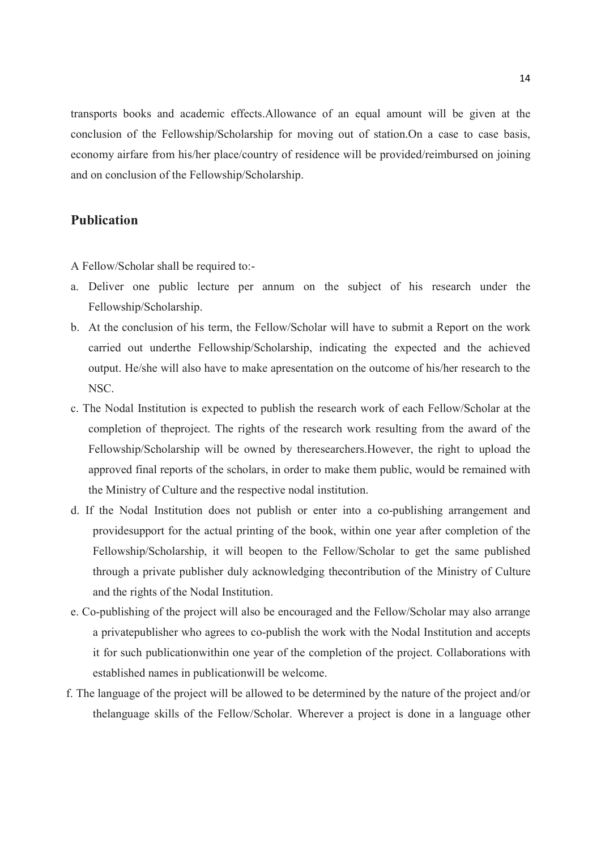transports books and academic effects.Allowance of an equal amount will be given at the conclusion of the Fellowship/Scholarship for moving out of station.On a case to case basis, economy airfare from his/her place/country of residence will be provided/reimbursed on joining and on conclusion of the Fellowship/Scholarship.

#### Publication

A Fellow/Scholar shall be required to:-

- a. Deliver one public lecture per annum on the subject of his research under the Fellowship/Scholarship.
- b. At the conclusion of his term, the Fellow/Scholar will have to submit a Report on the work carried out underthe Fellowship/Scholarship, indicating the expected and the achieved output. He/she will also have to make apresentation on the outcome of his/her research to the NSC.
- c. The Nodal Institution is expected to publish the research work of each Fellow/Scholar at the completion of theproject. The rights of the research work resulting from the award of the Fellowship/Scholarship will be owned by theresearchers.However, the right to upload the approved final reports of the scholars, in order to make them public, would be remained with the Ministry of Culture and the respective nodal institution.
- d. If the Nodal Institution does not publish or enter into a co-publishing arrangement and providesupport for the actual printing of the book, within one year after completion of the Fellowship/Scholarship, it will beopen to the Fellow/Scholar to get the same published through a private publisher duly acknowledging thecontribution of the Ministry of Culture and the rights of the Nodal Institution.
- e. Co-publishing of the project will also be encouraged and the Fellow/Scholar may also arrange a privatepublisher who agrees to co-publish the work with the Nodal Institution and accepts it for such publicationwithin one year of the completion of the project. Collaborations with established names in publicationwill be welcome.
- f. The language of the project will be allowed to be determined by the nature of the project and/or thelanguage skills of the Fellow/Scholar. Wherever a project is done in a language other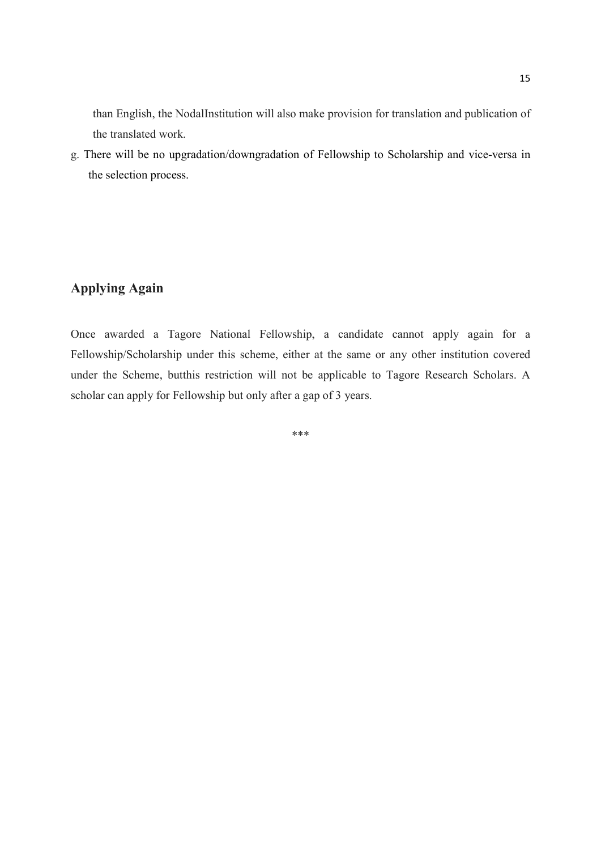than English, the NodalInstitution will also make provision for translation and publication of the translated work.

g. There will be no upgradation/downgradation of Fellowship to Scholarship and vice-versa in the selection process.

### Applying Again

Once awarded a Tagore National Fellowship, a candidate cannot apply again for a Fellowship/Scholarship under this scheme, either at the same or any other institution covered under the Scheme, butthis restriction will not be applicable to Tagore Research Scholars. A scholar can apply for Fellowship but only after a gap of 3 years.

\*\*\*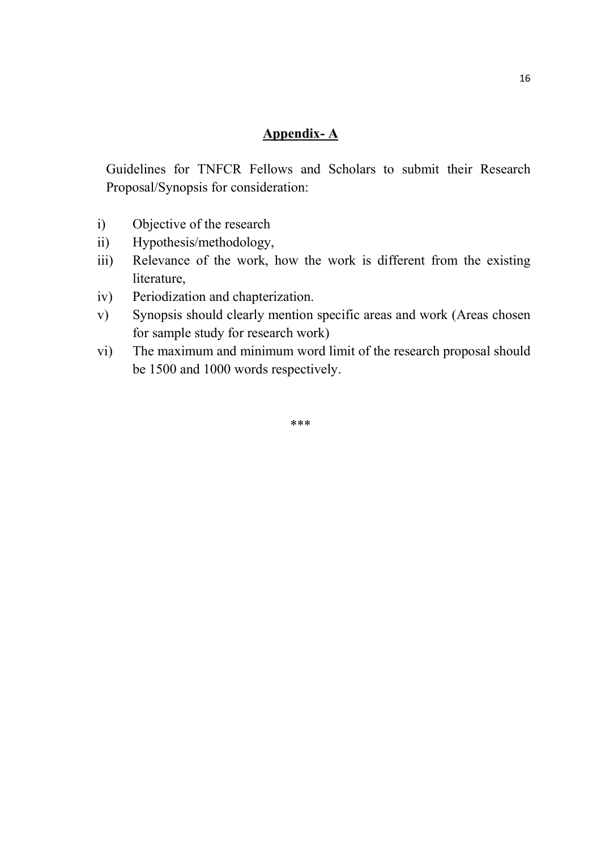### Appendix- A

Guidelines for TNFCR Fellows and Scholars to submit their Research Proposal/Synopsis for consideration:

- i) Objective of the research
- ii) Hypothesis/methodology,
- iii) Relevance of the work, how the work is different from the existing literature,
- iv) Periodization and chapterization.
- v) Synopsis should clearly mention specific areas and work (Areas chosen for sample study for research work)
- vi) The maximum and minimum word limit of the research proposal should be 1500 and 1000 words respectively.

\*\*\*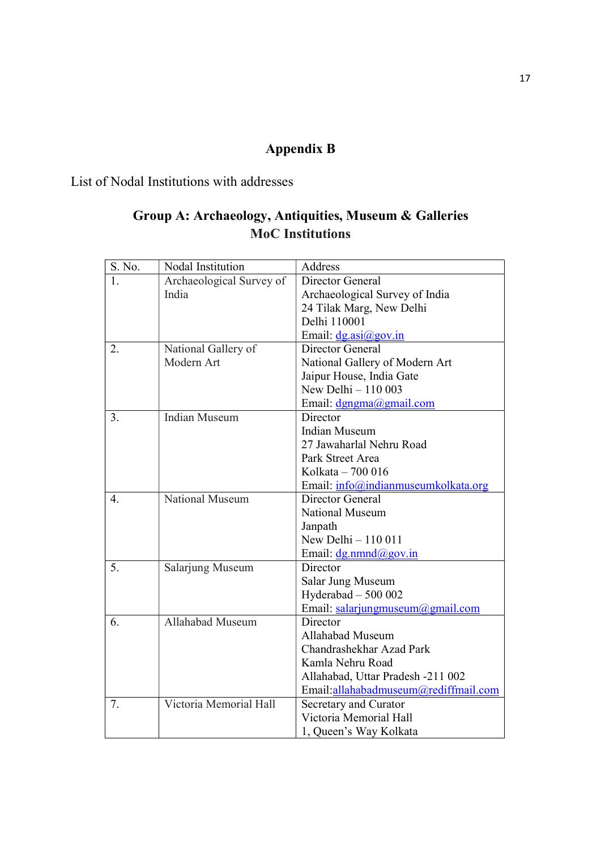# Appendix B

List of Nodal Institutions with addresses

## Group A: Archaeology, Antiquities, Museum & Galleries MoC Institutions

| S. No. | Nodal Institution        | Address                              |
|--------|--------------------------|--------------------------------------|
| 1.     | Archaeological Survey of | Director General                     |
|        | India                    | Archaeological Survey of India       |
|        |                          | 24 Tilak Marg, New Delhi             |
|        |                          | Delhi 110001                         |
|        |                          | Email: $dg.asi@gov.in$               |
| 2.     | National Gallery of      | Director General                     |
|        | Modern Art               | National Gallery of Modern Art       |
|        |                          | Jaipur House, India Gate             |
|        |                          | New Delhi $-110003$                  |
|        |                          | Email: dgngma@gmail.com              |
| 3.     | <b>Indian Museum</b>     | Director                             |
|        |                          | <b>Indian Museum</b>                 |
|        |                          | 27 Jawaharlal Nehru Road             |
|        |                          | Park Street Area                     |
|        |                          | Kolkata - 700 016                    |
|        |                          | Email: info@indianmuseumkolkata.org  |
| 4.     | National Museum          | Director General                     |
|        |                          | <b>National Museum</b>               |
|        |                          | Janpath                              |
|        |                          | New Delhi - 110 011                  |
|        |                          | Email: $d$ g.nmnd@gov.in             |
| 5.     | Salarjung Museum         | Director                             |
|        |                          | Salar Jung Museum                    |
|        |                          | Hyderabad $-500002$                  |
|        |                          | Email: salarjungmuseum@gmail.com     |
| 6.     | Allahabad Museum         | Director                             |
|        |                          | Allahabad Museum                     |
|        |                          | Chandrashekhar Azad Park             |
|        |                          | Kamla Nehru Road                     |
|        |                          | Allahabad, Uttar Pradesh -211 002    |
|        |                          | Email:allahabadmuseum@rediffmail.com |
| 7.     | Victoria Memorial Hall   | Secretary and Curator                |
|        |                          | Victoria Memorial Hall               |
|        |                          | 1, Queen's Way Kolkata               |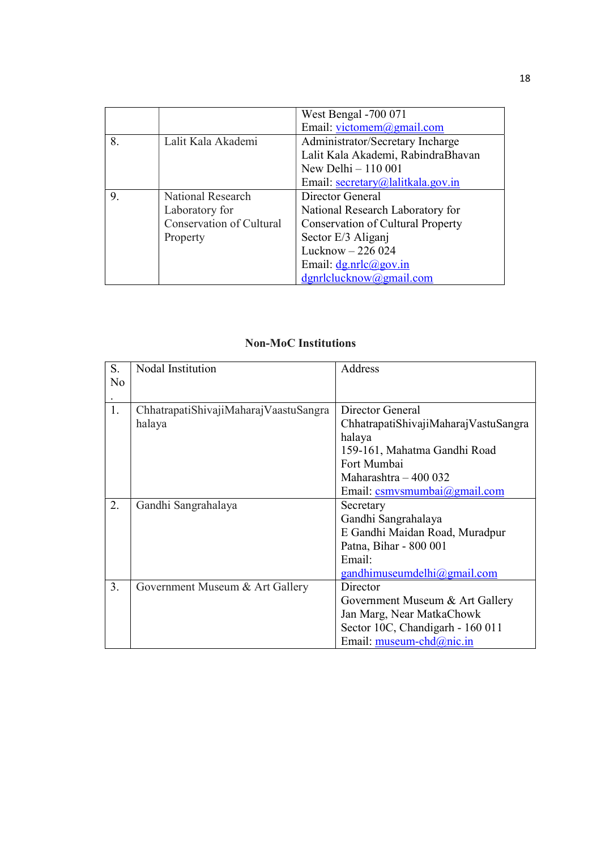|    |                          | West Bengal -700 071                     |
|----|--------------------------|------------------------------------------|
|    |                          | Email: victomem@gmail.com                |
| 8. | Lalit Kala Akademi       | Administrator/Secretary Incharge         |
|    |                          | Lalit Kala Akademi, RabindraBhavan       |
|    |                          | New Delhi - 110 001                      |
|    |                          | Email: secretary@lalitkala.gov.in        |
| 9. | National Research        | Director General                         |
|    | Laboratory for           | National Research Laboratory for         |
|    | Conservation of Cultural | <b>Conservation of Cultural Property</b> |
|    | Property                 | Sector E/3 Aligani                       |
|    |                          | Lucknow $-226024$                        |
|    |                          | Email: $dg.nrlc@gov.in$                  |
|    |                          | dgnrlclucknow@gmail.com                  |

### Non-MoC Institutions

| S. | Nodal Institution                     | Address                                  |
|----|---------------------------------------|------------------------------------------|
| No |                                       |                                          |
|    |                                       |                                          |
| 1. | ChhatrapatiShivajiMaharajVaastuSangra | Director General                         |
|    | halaya                                | ChhatrapatiShivajiMaharajVastuSangra     |
|    |                                       | halaya                                   |
|    |                                       | 159-161, Mahatma Gandhi Road             |
|    |                                       | Fort Mumbai                              |
|    |                                       | Maharashtra $-400032$                    |
|    |                                       | Email: $csmvsmumbai(\partial gmail.com)$ |
| 2. | Gandhi Sangrahalaya                   | Secretary                                |
|    |                                       | Gandhi Sangrahalaya                      |
|    |                                       | E Gandhi Maidan Road, Muradpur           |
|    |                                       | Patna, Bihar - 800 001                   |
|    |                                       | Email:                                   |
|    |                                       | gandhimuseumdelhi@gmail.com              |
| 3. | Government Museum & Art Gallery       | Director                                 |
|    |                                       | Government Museum & Art Gallery          |
|    |                                       | Jan Marg, Near MatkaChowk                |
|    |                                       | Sector 10C, Chandigarh - 160 011         |
|    |                                       | Email: museum-chd@nic.in                 |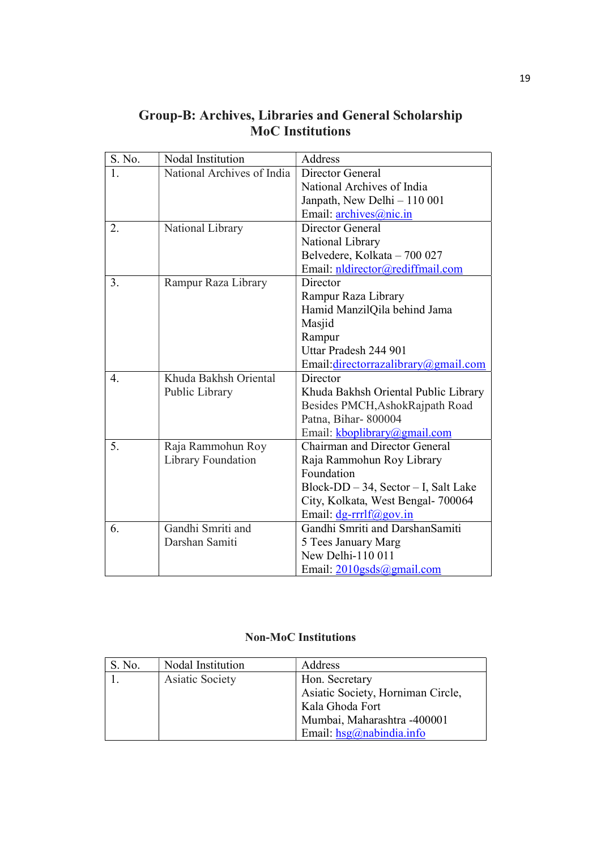| S. No. | Nodal Institution          | Address                              |
|--------|----------------------------|--------------------------------------|
| 1.     | National Archives of India | Director General                     |
|        |                            | National Archives of India           |
|        |                            | Janpath, New Delhi - 110 001         |
|        |                            | Email: archives@nic.in               |
| 2.     | National Library           | Director General                     |
|        |                            | National Library                     |
|        |                            | Belvedere, Kolkata - 700 027         |
|        |                            | Email: nldirector@rediffmail.com     |
| 3.     | Rampur Raza Library        | Director                             |
|        |                            | Rampur Raza Library                  |
|        |                            | Hamid ManzilQila behind Jama         |
|        |                            | Masjid                               |
|        |                            | Rampur                               |
|        |                            | Uttar Pradesh 244 901                |
|        |                            | Email: directorrazalibrary@gmail.com |
| 4.     | Khuda Bakhsh Oriental      | Director                             |
|        | Public Library             | Khuda Bakhsh Oriental Public Library |
|        |                            | Besides PMCH, AshokRajpath Road      |
|        |                            | Patna, Bihar-800004                  |
|        |                            | Email: kboplibrary@gmail.com         |
| 5.     | Raja Rammohun Roy          | <b>Chairman and Director General</b> |
|        | Library Foundation         | Raja Rammohun Roy Library            |
|        |                            | Foundation                           |
|        |                            | Block-DD - 34, Sector - I, Salt Lake |
|        |                            | City, Kolkata, West Bengal- 700064   |
|        |                            | Email: $dg$ -rrrlf@gov.in            |
| 6.     | Gandhi Smriti and          | Gandhi Smriti and DarshanSamiti      |
|        | Darshan Samiti             | 5 Tees January Marg                  |
|        |                            | New Delhi-110 011                    |
|        |                            | Email: 2010gsds@gmail.com            |

### Group-B: Archives, Libraries and General Scholarship MoC Institutions

### Non-MoC Institutions

| S. No. | Nodal Institution | Address                                  |
|--------|-------------------|------------------------------------------|
|        | Asiatic Society   | Hon. Secretary                           |
|        |                   | Asiatic Society, Horniman Circle,        |
|        |                   | Kala Ghoda Fort                          |
|        |                   | Mumbai, Maharashtra -400001              |
|        |                   | Email: $hsg(\hat{\theta})$ nabindia.info |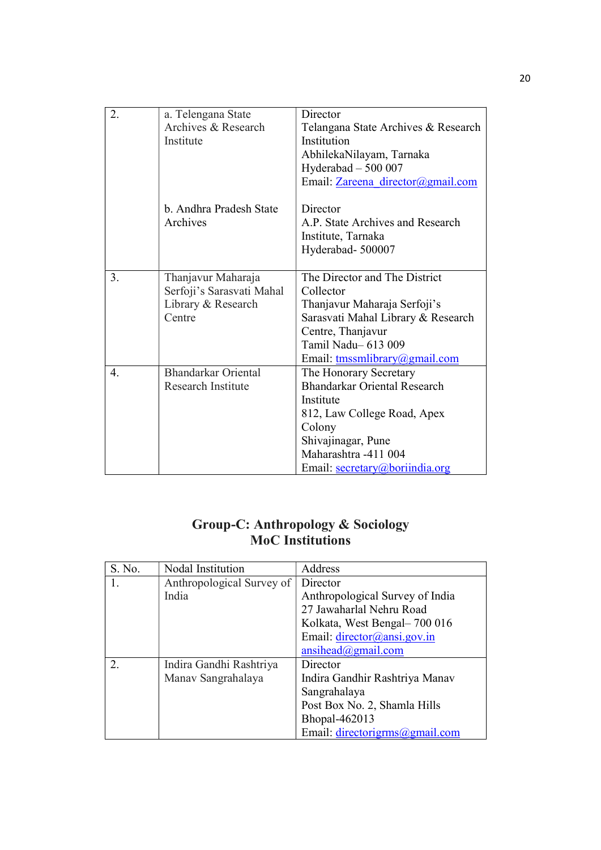| 2. | a. Telengana State        | Director                            |
|----|---------------------------|-------------------------------------|
|    | Archives & Research       | Telangana State Archives & Research |
|    | Institute                 | Institution                         |
|    |                           | AbhilekaNilayam, Tarnaka            |
|    |                           | Hyderabad $-500007$                 |
|    |                           | Email: Zareena director@gmail.com   |
|    | b. Andhra Pradesh State   | Director                            |
|    | Archives                  | A.P. State Archives and Research    |
|    |                           |                                     |
|    |                           | Institute, Tarnaka                  |
|    |                           | Hyderabad-500007                    |
| 3. | Thanjavur Maharaja        | The Director and The District       |
|    | Serfoji's Sarasvati Mahal | Collector                           |
|    | Library & Research        | Thanjavur Maharaja Serfoji's        |
|    | Centre                    | Sarasvati Mahal Library & Research  |
|    |                           | Centre, Thanjavur                   |
|    |                           | Tamil Nadu-613 009                  |
|    |                           | Email: tmssmlibrary@gmail.com       |
| 4. | Bhandarkar Oriental       | The Honorary Secretary              |
|    | Research Institute        | <b>Bhandarkar Oriental Research</b> |
|    |                           | Institute                           |
|    |                           | 812, Law College Road, Apex         |
|    |                           | Colony                              |
|    |                           | Shivajinagar, Pune                  |
|    |                           | Maharashtra -411 004                |
|    |                           | Email: secretary@boriindia.org      |

### Group-C: Anthropology & Sociology MoC Institutions

| S. No. | Nodal Institution         | Address                                        |
|--------|---------------------------|------------------------------------------------|
| 1.     | Anthropological Survey of | Director                                       |
|        | India                     | Anthropological Survey of India                |
|        |                           | 27 Jawaharlal Nehru Road                       |
|        |                           | Kolkata, West Bengal-700 016                   |
|        |                           | Email: $\text{directory}(\text{@ansi.gov.in})$ |
|        |                           | $ansihead(\omega)$ gmail.com                   |
| 2.     | Indira Gandhi Rashtriya   | Director                                       |
|        | Manav Sangrahalaya        | Indira Gandhir Rashtriya Manav                 |
|        |                           | Sangrahalaya                                   |
|        |                           | Post Box No. 2, Shamla Hills                   |
|        |                           | Bhopal-462013                                  |
|        |                           | Email: directorigrms@gmail.com                 |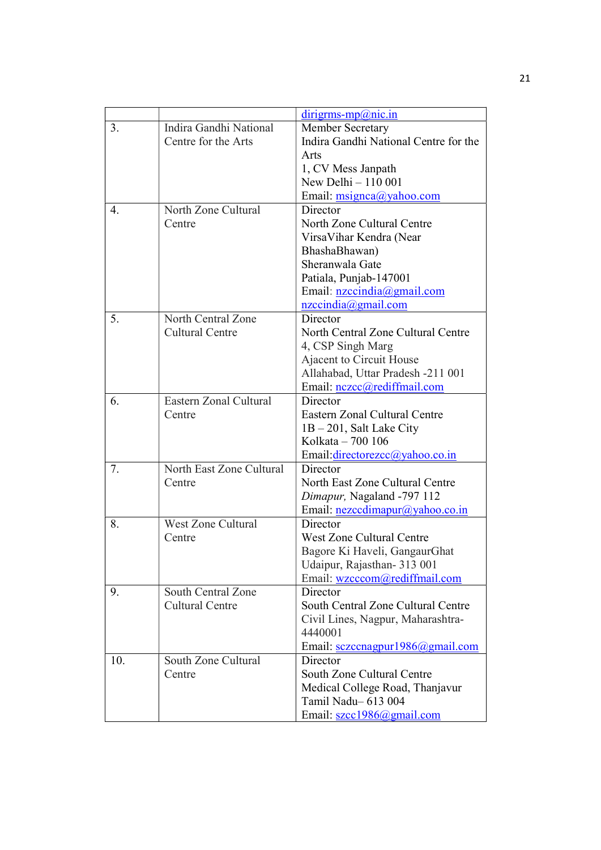|     |                           | $dirigrams-mp@nic.in$                 |
|-----|---------------------------|---------------------------------------|
| 3.  | Indira Gandhi National    | Member Secretary                      |
|     | Centre for the Arts       | Indira Gandhi National Centre for the |
|     |                           | Arts                                  |
|     |                           | 1, CV Mess Janpath                    |
|     |                           | New Delhi - 110 001                   |
|     |                           | Email: msignca@yahoo.com              |
| 4.  | North Zone Cultural       | Director                              |
|     | Centre                    | North Zone Cultural Centre            |
|     |                           | Virsa Vihar Kendra (Near              |
|     |                           | BhashaBhawan)                         |
|     |                           | Sheranwala Gate                       |
|     |                           | Patiala, Punjab-147001                |
|     |                           | Email: nzccindia@gmail.com            |
|     |                           | $nzccindia(\partial gmail.com)$       |
| 5.  | North Central Zone        | Director                              |
|     | <b>Cultural Centre</b>    | North Central Zone Cultural Centre    |
|     |                           | 4, CSP Singh Marg                     |
|     |                           | Ajacent to Circuit House              |
|     |                           | Allahabad, Uttar Pradesh -211 001     |
|     |                           | Email: nczcc@rediffmail.com           |
| 6.  | Eastern Zonal Cultural    | Director                              |
|     | Centre                    | Eastern Zonal Cultural Centre         |
|     |                           | $1B - 201$ , Salt Lake City           |
|     |                           | Kolkata - 700 106                     |
|     |                           | Email:directorezcc@yahoo.co.in        |
| 7.  | North East Zone Cultural  | Director                              |
|     | Centre                    | North East Zone Cultural Centre       |
|     |                           | Dimapur, Nagaland -797 112            |
|     |                           | Email: nezccdimapur@yahoo.co.in       |
| 8.  | <b>West Zone Cultural</b> | Director                              |
|     | Centre                    | <b>West Zone Cultural Centre</b>      |
|     |                           | Bagore Ki Haveli, GangaurGhat         |
|     |                           | Udaipur, Rajasthan- 313 001           |
|     |                           | Email: wzcccom@rediffmail.com         |
| 9.  | South Central Zone        | Director                              |
|     | <b>Cultural Centre</b>    | South Central Zone Cultural Centre    |
|     |                           | Civil Lines, Nagpur, Maharashtra-     |
|     |                           | 4440001                               |
|     |                           | Email: sczccnagpur1986@gmail.com      |
| 10. | South Zone Cultural       | Director                              |
|     | Centre                    | South Zone Cultural Centre            |
|     |                           | Medical College Road, Thanjavur       |
|     |                           | Tamil Nadu-613 004                    |
|     |                           | Email: szcc1986@gmail.com             |